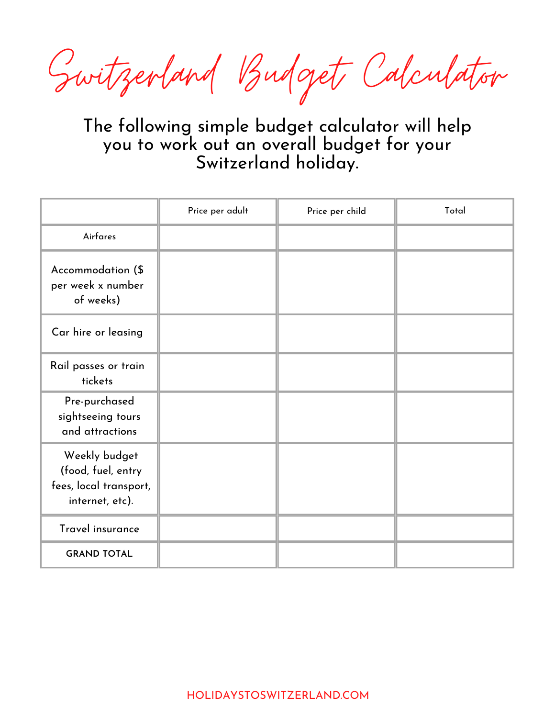Switzerland Budget Calculator

The following simple budget calculator will help you to work out an overall budget for your Switzerland holiday.

|                                                                                  | Price per adult | Price per child | Total |
|----------------------------------------------------------------------------------|-----------------|-----------------|-------|
| Airfares                                                                         |                 |                 |       |
| Accommodation (\$<br>per week x number<br>of weeks)                              |                 |                 |       |
| Car hire or leasing                                                              |                 |                 |       |
| Rail passes or train<br>tickets                                                  |                 |                 |       |
| Pre-purchased<br>sightseeing tours<br>and attractions                            |                 |                 |       |
| Weekly budget<br>(food, fuel, entry<br>fees, local transport,<br>internet, etc). |                 |                 |       |
| Travel insurance                                                                 |                 |                 |       |
| <b>GRAND TOTAL</b>                                                               |                 |                 |       |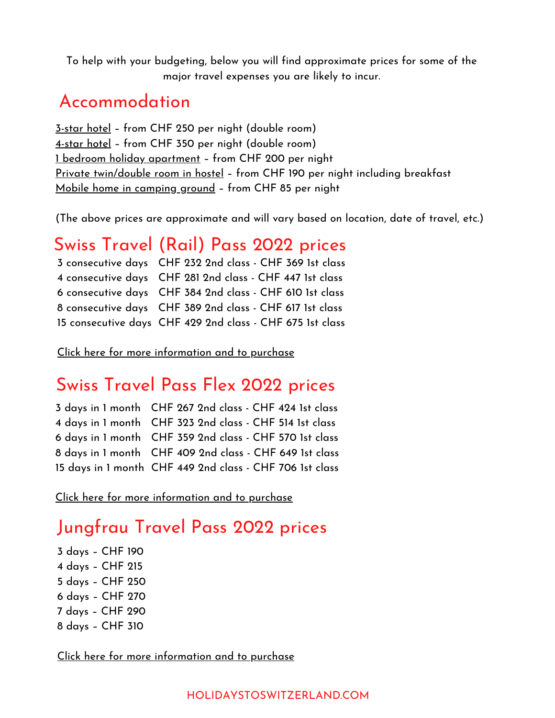To help with your budgeting, below you will find approximate prices for some of the major travel expenses you are likely to incur.

#### Accommodation

[3-star](https://www.booking.com/index.html?aid=927160) hotel – from CHF 250 per night (double room) [4-star](https://www.booking.com/index.html?aid=927160) hotel – from CHF 350 per night (double room) 1 bedroom holiday [apartment](https://www.booking.com/apartments/index.html?aid=927160) – from CHF 200 per night Private [twin/double](https://www.youthhostel.ch/en/) room in hostel – from CHF 190 per night including breakfast Mobile home in [camping](https://www.eurocamp.co.uk/destinations?awinaffid=192591&awc=3721_1551850838_e60d9fa055e7e801c800323b17ff122b) ground – from CHF 85 per night

(The above prices are approximate and will vary based on location, date of travel, etc.)

### Swiss Travel (Rail) Pass 2022 prices

| 3 consecutive days CHF 232 2nd class - CHF 369 1st class  |
|-----------------------------------------------------------|
| 4 consecutive days CHF 281 2nd class - CHF 447 1st class  |
| 6 consecutive days CHF 384 2nd class - CHF 610 1st class  |
| 8 consecutive days CHF 389 2nd class - CHF 617 1st class  |
| 15 consecutive days CHF 429 2nd class - CHF 675 1st class |

Click here for more [information](https://holidaystoswitzerland.com/recommends/swiss-travel-pass/) and to purchase

#### Swiss Travel Pass Flex 2022 prices

| 3 days in 1 month CHF 267 2nd class - CHF 424 1st class  |
|----------------------------------------------------------|
| 4 days in 1 month CHF 323 2nd class - CHF 514 1st class  |
| 6 days in 1 month CHF 359 2nd class - CHF 570 1st class  |
| 8 days in 1 month CHF 409 2nd class - CHF 649 1st class  |
| 15 days in 1 month CHF 449 2nd class - CHF 706 1st class |

Click here for more [information](https://holidaystoswitzerland.com/recommends/swiss-travel-pass-flex/) and to purchase

# Jungfrau Travel Pass 2022 prices

 days – CHF 190 days – CHF 215 days – CHF 250 days – CHF 270 days – CHF 290 days – CHF 310

Click here for more [information](https://holidaystoswitzerland.com/recommends/jungfrau-travel-pass/) and to purchase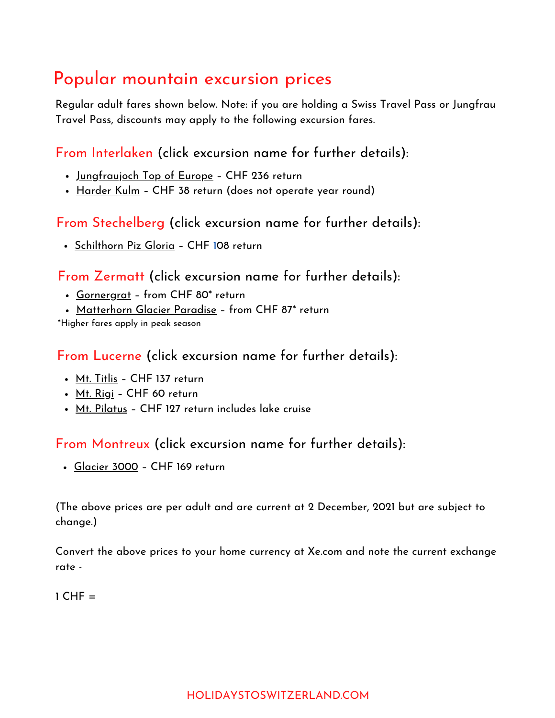# Popular mountain excursion prices

Regular adult fares shown below. Note: if you are holding a Swiss Travel Pass or Jungfrau Travel Pass, discounts may apply to the following excursion fares.

From Interlaken (click excursion name for further details):

- <u>[Jungfraujoch](https://www.getyourguide.com/interlaken-l793/interlaken-to-jungfraujoch-by-train-to-the-top-of-europe-t186585/?partner_id=9122B4J=budgetcalculator) Top of Europe</u> CHF 236 return
- [Harder](https://viator.com/tours/Interlaken/Harder-Kulm-Access/d5011-59265P1?pid=P00053775&mcid=42383&medium=link&campaign=budgetcalculator) Kulm CHF 38 return (does not operate year round)

From Stechelberg (click excursion name for further details):

• [Schilthorn](https://www.getyourguide.com/stechelberg-l1712/cable-car-roundtrip-to-schilthorn-piz-gloria-bond-world-t210861/?partner_id=9122B4J=budgetcalculator) Piz Gloria - [CHF](https://www.getyourguide.com/interlaken-l793/interlaken-to-jungfraujoch-by-train-to-the-top-of-europe-t186585/?partner_id=9122B4J) [1](https://www.getyourguide.com/interlaken-l793/interlaken-to-jungfraujoch-by-train-to-the-top-of-europe-t186585/?partner_id=9122B4J)08 [return](https://www.getyourguide.com/interlaken-l793/interlaken-to-jungfraujoch-by-train-to-the-top-of-europe-t186585/?partner_id=9122B4J)

From Zermatt (click excursion name for further details):

- [Gornergrat](https://www.getyourguide.com/zermatt-l1514/zermatt-gornergrat-bahn-cogwheel-train-ticket-t262127/?partner_id=9122B4J=budgetcalculator) from CHF 80\* [return](https://www.getyourguide.com/interlaken-l793/interlaken-to-jungfraujoch-by-train-to-the-top-of-europe-t186585/?partner_id=9122B4J)
- [Matterhorn](https://www.getyourguide.com/zermatt-l1514/zermatt-discover-the-matterhorn-glacier-paradise-t394219/?partner_id=9122B4J=budgetcalculator) Glacier Paradise from CHF 87\* [return](https://www.getyourguide.com/interlaken-l793/interlaken-to-jungfraujoch-by-train-to-the-top-of-europe-t186585/?partner_id=9122B4J)

\*Higher fares apply in peak season

From Lucerne (click excursion name for further details):

- Mt. [Titlis](https://www.getyourguide.com/lucerne-l867/from-lucerne-titlis-full-day-tour-eternal-snow-glacier-t108775/?partner_id=9122B4J=budgetcalculator) CHF 137 [return](https://www.getyourguide.com/interlaken-l793/interlaken-to-jungfraujoch-by-train-to-the-top-of-europe-t186585/?partner_id=9122B4J)
- Mt. [Rigi](https://www.getyourguide.com/lucerne-l867/classic-rigi-round-trip-from-lucerne-t43859/?partner_id=9122B4J=budgetcalculator) [CH](https://www.getyourguide.com/interlaken-l793/interlaken-to-jungfraujoch-by-train-to-the-top-of-europe-t186585/?partner_id=9122B4J)F 60 [return](https://www.getyourguide.com/interlaken-l793/interlaken-to-jungfraujoch-by-train-to-the-top-of-europe-t186585/?partner_id=9122B4J)
- Mt. [Pilatus](https://www.getyourguide.com/lucerne-l867/mt-pilatus-cable-car-cog-rail-lake-cruise-from-lucerne-t123611/?partner_id=9122B4J=budgetcalculator) CHF 127 [return](https://www.getyourguide.com/interlaken-l793/interlaken-to-jungfraujoch-by-train-to-the-top-of-europe-t186585/?partner_id=9122B4J) includes lake cruise

#### From Montreux (click excursion name for further details):

[Glacier](https://www.getyourguide.com/montreux-l32355/montreux-glacier-walk-husky-tour-t86177/?partner_id=9122B4J=budgetcalculator) 3000 – CHF 169 [return](https://www.getyourguide.com/interlaken-l793/interlaken-to-jungfraujoch-by-train-to-the-top-of-europe-t186585/?partner_id=9122B4J)

(The above prices are per adult and are current at 2 December, 2021 but are subject to change.)

Convert the above prices to your home currency at [Xe.com](https://www.xe.com/) and note the current exchange rate -

 $1$  CHF  $=$